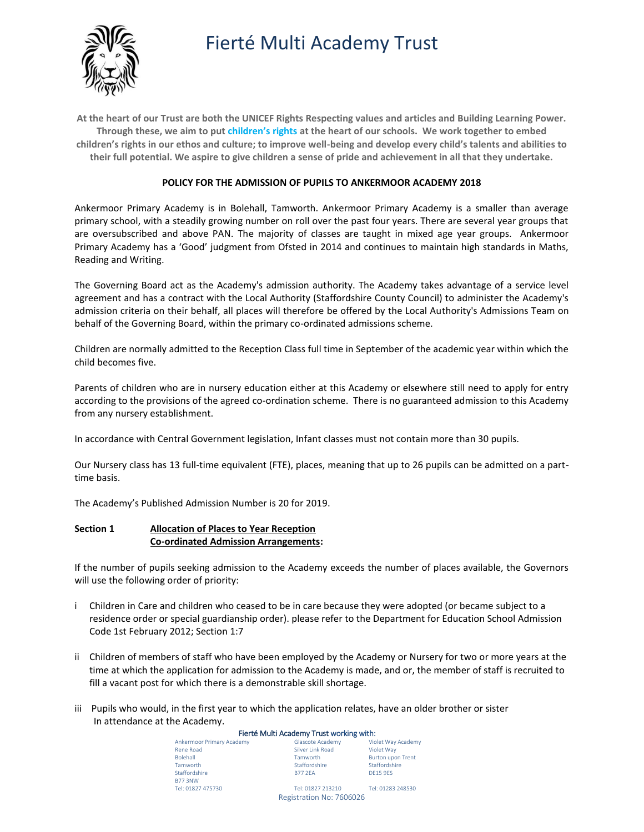# Fierté Multi Academy Trust



**At the heart of our Trust are both the UNICEF Rights Respecting values and articles and Building Learning Power. Through these, we aim to put [children's rights](http://www.unicef.org.uk/rights-respecting-schools/about-the-award/child-rights-in-schools/) at the heart of our schools. We work together to embed children's rights in our ethos and culture; to improve well-being and develop every child's talents and abilities to their full potential. We aspire to give children a sense of pride and achievement in all that they undertake.**

## **POLICY FOR THE ADMISSION OF PUPILS TO ANKERMOOR ACADEMY 2018**

Ankermoor Primary Academy is in Bolehall, Tamworth. Ankermoor Primary Academy is a smaller than average primary school, with a steadily growing number on roll over the past four years. There are several year groups that are oversubscribed and above PAN. The majority of classes are taught in mixed age year groups. Ankermoor Primary Academy has a 'Good' judgment from Ofsted in 2014 and continues to maintain high standards in Maths, Reading and Writing.

The Governing Board act as the Academy's admission authority. The Academy takes advantage of a service level agreement and has a contract with the Local Authority (Staffordshire County Council) to administer the Academy's admission criteria on their behalf, all places will therefore be offered by the Local Authority's Admissions Team on behalf of the Governing Board, within the primary co-ordinated admissions scheme.

Children are normally admitted to the Reception Class full time in September of the academic year within which the child becomes five.

Parents of children who are in nursery education either at this Academy or elsewhere still need to apply for entry according to the provisions of the agreed co-ordination scheme. There is no guaranteed admission to this Academy from any nursery establishment.

In accordance with Central Government legislation, Infant classes must not contain more than 30 pupils.

Our Nursery class has 13 full-time equivalent (FTE), places, meaning that up to 26 pupils can be admitted on a parttime basis.

The Academy's Published Admission Number is 20 for 2019.

## **Section 1 Allocation of Places to Year Reception Co-ordinated Admission Arrangements:**

If the number of pupils seeking admission to the Academy exceeds the number of places available, the Governors will use the following order of priority:

- i Children in Care and children who ceased to be in care because they were adopted (or became subject to a residence order or special guardianship order). please refer to the Department for Education School Admission Code 1st February 2012; Section 1:7
- ii Children of members of staff who have been employed by the Academy or Nursery for two or more years at the time at which the application for admission to the Academy is made, and or, the member of staff is recruited to fill a vacant post for which there is a demonstrable skill shortage.
- iii Pupils who would, in the first year to which the application relates, have an older brother or sister In attendance at the Academy.

#### Fierté Multi Academy Trust working with:

| Ankermoor Primary Academy | Glascote Academy         | Violet Way Academy       |
|---------------------------|--------------------------|--------------------------|
| Rene Road                 | Silver Link Road         | Violet Wav               |
| <b>Bolehall</b>           | Tamworth                 | <b>Burton upon Trent</b> |
| Tamworth                  | Staffordshire            | Staffordshire            |
| Staffordshire             | <b>B77 2FA</b>           | <b>DF15 9FS</b>          |
| <b>B77 3NW</b>            |                          |                          |
| Tel: 01827 475730         | Tel: 01827 213210        | Tel: 01283 248530        |
|                           | Registration No: 7606026 |                          |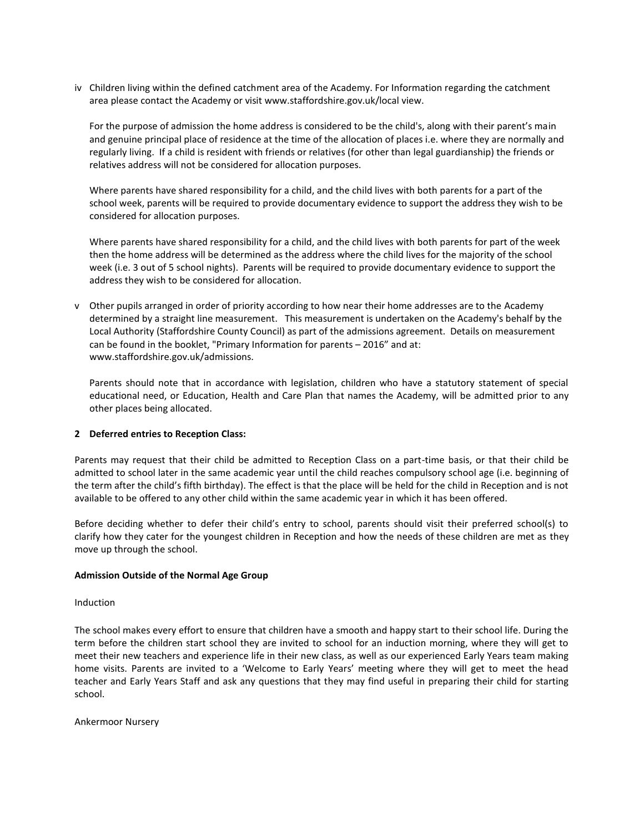iv Children living within the defined catchment area of the Academy. For Information regarding the catchment area please contact the Academy or visit www.staffordshire.gov.uk/local view.

For the purpose of admission the home address is considered to be the child's, along with their parent's main and genuine principal place of residence at the time of the allocation of places i.e. where they are normally and regularly living. If a child is resident with friends or relatives (for other than legal guardianship) the friends or relatives address will not be considered for allocation purposes.

Where parents have shared responsibility for a child, and the child lives with both parents for a part of the school week, parents will be required to provide documentary evidence to support the address they wish to be considered for allocation purposes.

Where parents have shared responsibility for a child, and the child lives with both parents for part of the week then the home address will be determined as the address where the child lives for the majority of the school week (i.e. 3 out of 5 school nights). Parents will be required to provide documentary evidence to support the address they wish to be considered for allocation.

v Other pupils arranged in order of priority according to how near their home addresses are to the Academy determined by a straight line measurement. This measurement is undertaken on the Academy's behalf by the Local Authority (Staffordshire County Council) as part of the admissions agreement. Details on measurement can be found in the booklet, "Primary Information for parents – 2016" and at: www.staffordshire.gov.uk/admissions.

Parents should note that in accordance with legislation, children who have a statutory statement of special educational need, or Education, Health and Care Plan that names the Academy, will be admitted prior to any other places being allocated.

## **2 Deferred entries to Reception Class:**

Parents may request that their child be admitted to Reception Class on a part-time basis, or that their child be admitted to school later in the same academic year until the child reaches compulsory school age (i.e. beginning of the term after the child's fifth birthday). The effect is that the place will be held for the child in Reception and is not available to be offered to any other child within the same academic year in which it has been offered.

Before deciding whether to defer their child's entry to school, parents should visit their preferred school(s) to clarify how they cater for the youngest children in Reception and how the needs of these children are met as they move up through the school.

#### **Admission Outside of the Normal Age Group**

#### Induction

The school makes every effort to ensure that children have a smooth and happy start to their school life. During the term before the children start school they are invited to school for an induction morning, where they will get to meet their new teachers and experience life in their new class, as well as our experienced Early Years team making home visits. Parents are invited to a 'Welcome to Early Years' meeting where they will get to meet the head teacher and Early Years Staff and ask any questions that they may find useful in preparing their child for starting school.

Ankermoor Nursery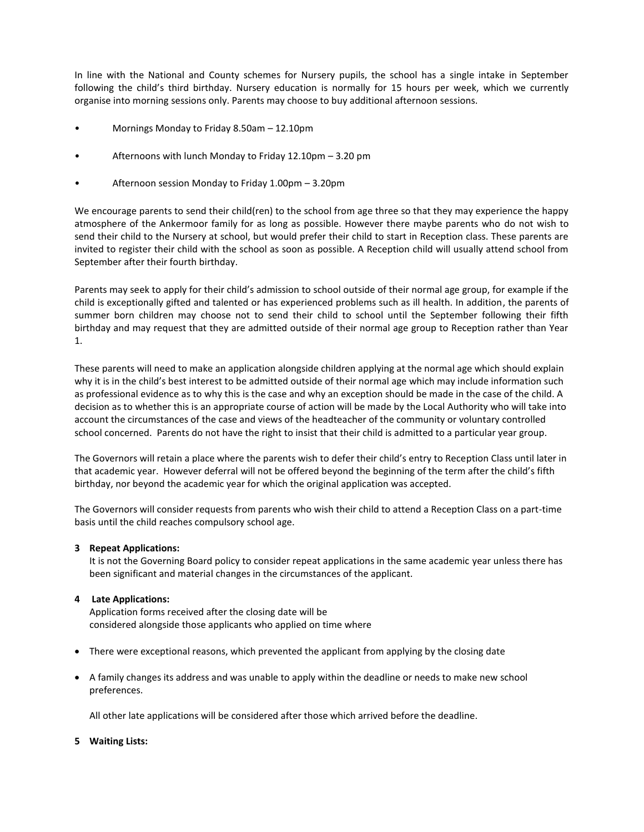In line with the National and County schemes for Nursery pupils, the school has a single intake in September following the child's third birthday. Nursery education is normally for 15 hours per week, which we currently organise into morning sessions only. Parents may choose to buy additional afternoon sessions.

- Mornings Monday to Friday 8.50am 12.10pm
- Afternoons with lunch Monday to Friday 12.10pm 3.20 pm
- Afternoon session Monday to Friday 1.00pm 3.20pm

We encourage parents to send their child(ren) to the school from age three so that they may experience the happy atmosphere of the Ankermoor family for as long as possible. However there maybe parents who do not wish to send their child to the Nursery at school, but would prefer their child to start in Reception class. These parents are invited to register their child with the school as soon as possible. A Reception child will usually attend school from September after their fourth birthday.

Parents may seek to apply for their child's admission to school outside of their normal age group, for example if the child is exceptionally gifted and talented or has experienced problems such as ill health. In addition, the parents of summer born children may choose not to send their child to school until the September following their fifth birthday and may request that they are admitted outside of their normal age group to Reception rather than Year 1.

These parents will need to make an application alongside children applying at the normal age which should explain why it is in the child's best interest to be admitted outside of their normal age which may include information such as professional evidence as to why this is the case and why an exception should be made in the case of the child. A decision as to whether this is an appropriate course of action will be made by the Local Authority who will take into account the circumstances of the case and views of the headteacher of the community or voluntary controlled school concerned. Parents do not have the right to insist that their child is admitted to a particular year group.

The Governors will retain a place where the parents wish to defer their child's entry to Reception Class until later in that academic year. However deferral will not be offered beyond the beginning of the term after the child's fifth birthday, nor beyond the academic year for which the original application was accepted.

The Governors will consider requests from parents who wish their child to attend a Reception Class on a part-time basis until the child reaches compulsory school age.

## **3 Repeat Applications:**

It is not the Governing Board policy to consider repeat applications in the same academic year unless there has been significant and material changes in the circumstances of the applicant.

## **4 Late Applications:**

Application forms received after the closing date will be considered alongside those applicants who applied on time where

- There were exceptional reasons, which prevented the applicant from applying by the closing date
- A family changes its address and was unable to apply within the deadline or needs to make new school preferences.

All other late applications will be considered after those which arrived before the deadline.

**5 Waiting Lists:**